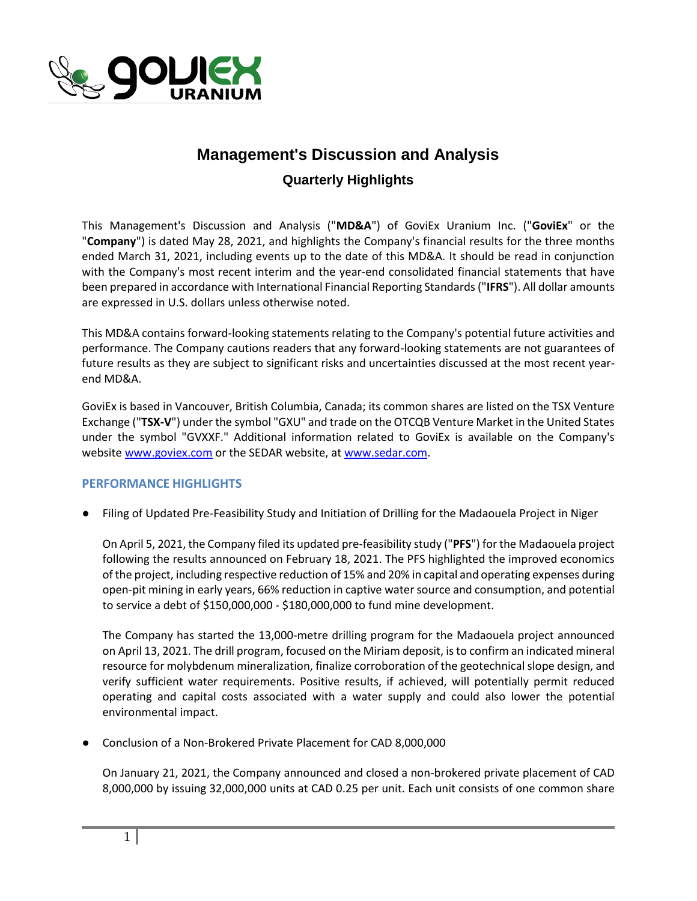

## **Management's Discussion and Analysis**

## **Quarterly Highlights**

This Management's Discussion and Analysis ("**MD&A**") of GoviEx Uranium Inc. ("**GoviEx**" or the "**Company**") is dated May 28, 2021, and highlights the Company's financial results for the three months ended March 31, 2021, including events up to the date of this MD&A. It should be read in conjunction with the Company's most recent interim and the year-end consolidated financial statements that have been prepared in accordance with International Financial Reporting Standards ("**IFRS**"). All dollar amounts are expressed in U.S. dollars unless otherwise noted.

This MD&A contains forward-looking statements relating to the Company's potential future activities and performance. The Company cautions readers that any forward-looking statements are not guarantees of future results as they are subject to significant risks and uncertainties discussed at the most recent yearend MD&A.

GoviEx is based in Vancouver, British Columbia, Canada; its common shares are listed on the TSX Venture Exchange ("**TSX-V**") under the symbol "GXU" and trade on the OTCQB Venture Market in the United States under the symbol "GVXXF." Additional information related to GoviEx is available on the Company's websit[e www.goviex.com](http://www.goviex.com/) or the SEDAR website, a[t www.sedar.com.](http://www.sedar.com/)

## **PERFORMANCE HIGHLIGHTS**

Filing of Updated Pre-Feasibility Study and Initiation of Drilling for the Madaouela Project in Niger

On April 5, 2021, the Company filed its updated pre-feasibility study ("**PFS**") for the Madaouela project following the results announced on February 18, 2021. The PFS highlighted the improved economics of the project, including respective reduction of 15% and 20% in capital and operating expenses during open-pit mining in early years, 66% reduction in captive water source and consumption, and potential to service a debt of \$150,000,000 - \$180,000,000 to fund mine development.

The Company has started the 13,000-metre drilling program for the Madaouela project announced on April 13, 2021. The drill program, focused on the Miriam deposit, is to confirm an indicated mineral resource for molybdenum mineralization, finalize corroboration of the geotechnical slope design, and verify sufficient water requirements. Positive results, if achieved, will potentially permit reduced operating and capital costs associated with a water supply and could also lower the potential environmental impact.

Conclusion of a Non-Brokered Private Placement for CAD 8,000,000

On January 21, 2021, the Company announced and closed a non-brokered private placement of CAD 8,000,000 by issuing 32,000,000 units at CAD 0.25 per unit. Each unit consists of one common share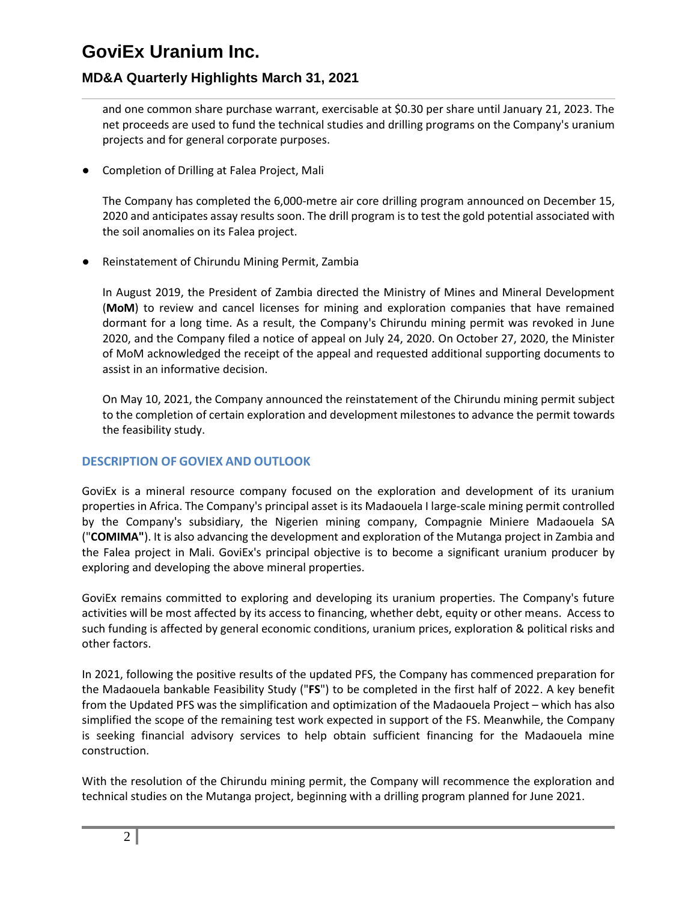# **GoviEx Uranium Inc.**

## **MD&A Quarterly Highlights March 31, 2021**

and one common share purchase warrant, exercisable at \$0.30 per share until January 21, 2023. The net proceeds are used to fund the technical studies and drilling programs on the Company's uranium projects and for general corporate purposes.

Completion of Drilling at Falea Project, Mali

The Company has completed the 6,000-metre air core drilling program announced on December 15, 2020 and anticipates assay results soon. The drill program is to test the gold potential associated with the soil anomalies on its Falea project.

● Reinstatement of Chirundu Mining Permit, Zambia

In August 2019, the President of Zambia directed the Ministry of Mines and Mineral Development (**MoM**) to review and cancel licenses for mining and exploration companies that have remained dormant for a long time. As a result, the Company's Chirundu mining permit was revoked in June 2020, and the Company filed a notice of appeal on July 24, 2020. On October 27, 2020, the Minister of MoM acknowledged the receipt of the appeal and requested additional supporting documents to assist in an informative decision.

On May 10, 2021, the Company announced the reinstatement of the Chirundu mining permit subject to the completion of certain exploration and development milestones to advance the permit towards the feasibility study.

### **DESCRIPTION OF GOVIEX AND OUTLOOK**

GoviEx is a mineral resource company focused on the exploration and development of its uranium properties in Africa. The Company's principal asset is its Madaouela I large-scale mining permit controlled by the Company's subsidiary, the Nigerien mining company, Compagnie Miniere Madaouela SA ("**COMIMA"**). It is also advancing the development and exploration of the Mutanga project in Zambia and the Falea project in Mali. GoviEx's principal objective is to become a significant uranium producer by exploring and developing the above mineral properties.

GoviEx remains committed to exploring and developing its uranium properties. The Company's future activities will be most affected by its access to financing, whether debt, equity or other means. Access to such funding is affected by general economic conditions, uranium prices, exploration & political risks and other factors.

In 2021, following the positive results of the updated PFS, the Company has commenced preparation for the Madaouela bankable Feasibility Study ("**FS**") to be completed in the first half of 2022. A key benefit from the Updated PFS was the simplification and optimization of the Madaouela Project – which has also simplified the scope of the remaining test work expected in support of the FS. Meanwhile, the Company is seeking financial advisory services to help obtain sufficient financing for the Madaouela mine construction.

With the resolution of the Chirundu mining permit, the Company will recommence the exploration and technical studies on the Mutanga project, beginning with a drilling program planned for June 2021.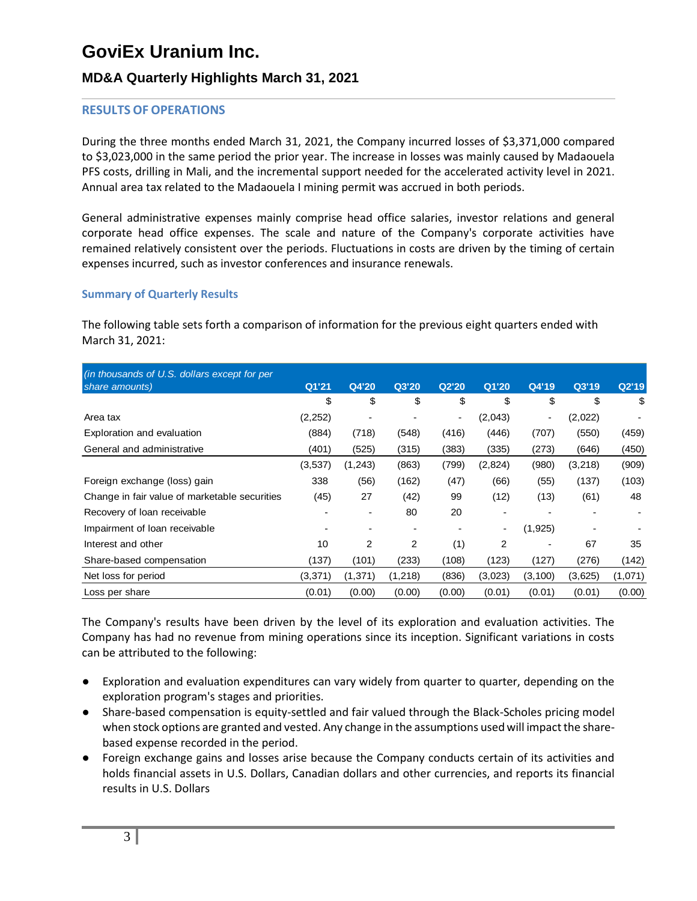# **GoviEx Uranium Inc.**

## **MD&A Quarterly Highlights March 31, 2021**

### **RESULTS OF OPERATIONS**

During the three months ended March 31, 2021, the Company incurred losses of \$3,371,000 compared to \$3,023,000 in the same period the prior year. The increase in losses was mainly caused by Madaouela PFS costs, drilling in Mali, and the incremental support needed for the accelerated activity level in 2021. Annual area tax related to the Madaouela I mining permit was accrued in both periods.

General administrative expenses mainly comprise head office salaries, investor relations and general corporate head office expenses. The scale and nature of the Company's corporate activities have remained relatively consistent over the periods. Fluctuations in costs are driven by the timing of certain expenses incurred, such as investor conferences and insurance renewals.

#### **Summary of Quarterly Results**

The following table sets forth a comparison of information for the previous eight quarters ended with March 31, 2021:

| (in thousands of U.S. dollars except for per  |                          |          |         |        |         |          |         |         |
|-----------------------------------------------|--------------------------|----------|---------|--------|---------|----------|---------|---------|
| share amounts)                                | Q1'21                    | Q4'20    | Q3'20   | Q2'20  | Q1'20   | Q4'19    | Q3'19   | Q2'19   |
|                                               | \$                       | \$       | \$      | \$     | \$      | \$       | \$      | \$      |
| Area tax                                      | (2,252)                  |          |         | -      | (2,043) |          | (2,022) |         |
| Exploration and evaluation                    | (884)                    | (718)    | (548)   | (416)  | (446)   | (707)    | (550)   | (459)   |
| General and administrative                    | (401)                    | (525)    | (315)   | (383)  | (335)   | (273)    | (646)   | (450)   |
|                                               | (3,537)                  | (1,243)  | (863)   | (799)  | (2,824) | (980)    | (3,218) | (909)   |
| Foreign exchange (loss) gain                  | 338                      | (56)     | (162)   | (47)   | (66)    | (55)     | (137)   | (103)   |
| Change in fair value of marketable securities | (45)                     | 27       | (42)    | 99     | (12)    | (13)     | (61)    | 48      |
| Recovery of Ioan receivable                   | $\overline{\phantom{0}}$ |          | 80      | 20     |         |          |         |         |
| Impairment of loan receivable                 |                          |          |         |        |         | (1,925)  |         |         |
| Interest and other                            | 10                       | 2        | 2       | (1)    | 2       |          | 67      | 35      |
| Share-based compensation                      | (137)                    | (101)    | (233)   | (108)  | (123)   | (127)    | (276)   | (142)   |
| Net loss for period                           | (3,371)                  | (1, 371) | (1,218) | (836)  | (3,023) | (3, 100) | (3,625) | (1,071) |
| Loss per share                                | (0.01)                   | (0.00)   | (0.00)  | (0.00) | (0.01)  | (0.01)   | (0.01)  | (0.00)  |

The Company's results have been driven by the level of its exploration and evaluation activities. The Company has had no revenue from mining operations since its inception. Significant variations in costs can be attributed to the following:

- Exploration and evaluation expenditures can vary widely from quarter to quarter, depending on the exploration program's stages and priorities.
- Share-based compensation is equity-settled and fair valued through the Black-Scholes pricing model when stock options are granted and vested. Any change in the assumptions used will impact the sharebased expense recorded in the period.
- Foreign exchange gains and losses arise because the Company conducts certain of its activities and holds financial assets in U.S. Dollars, Canadian dollars and other currencies, and reports its financial results in U.S. Dollars